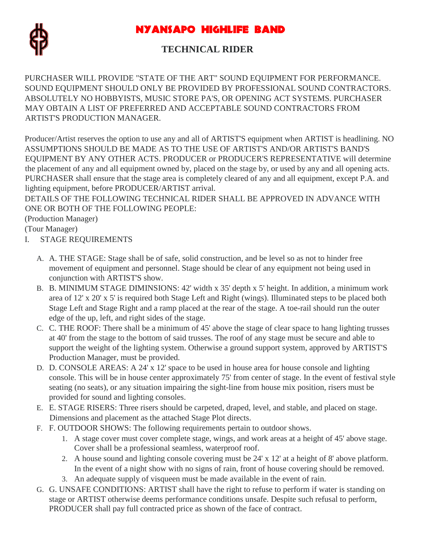



# **TECHNICAL RIDER**

PURCHASER WILL PROVIDE "STATE OF THE ART" SOUND EQUIPMENT FOR PERFORMANCE. SOUND EQUIPMENT SHOULD ONLY BE PROVIDED BY PROFESSIONAL SOUND CONTRACTORS. ABSOLUTELY NO HOBBYISTS, MUSIC STORE PA'S, OR OPENING ACT SYSTEMS. PURCHASER MAY OBTAIN A LIST OF PREFERRED AND ACCEPTABLE SOUND CONTRACTORS FROM ARTIST'S PRODUCTION MANAGER.

Producer/Artist reserves the option to use any and all of ARTIST'S equipment when ARTIST is headlining. NO ASSUMPTIONS SHOULD BE MADE AS TO THE USE OF ARTIST'S AND/OR ARTIST'S BAND'S EQUIPMENT BY ANY OTHER ACTS. PRODUCER or PRODUCER'S REPRESENTATIVE will determine the placement of any and all equipment owned by, placed on the stage by, or used by any and all opening acts. PURCHASER shall ensure that the stage area is completely cleared of any and all equipment, except P.A. and lighting equipment, before PRODUCER/ARTIST arrival.

DETAILS OF THE FOLLOWING TECHNICAL RIDER SHALL BE APPROVED IN ADVANCE WITH ONE OR BOTH OF THE FOLLOWING PEOPLE:

(Production Manager)

(Tour Manager)

- I. STAGE REQUIREMENTS
	- A. A. THE STAGE: Stage shall be of safe, solid construction, and be level so as not to hinder free movement of equipment and personnel. Stage should be clear of any equipment not being used in conjunction with ARTIST'S show.
	- B. B. MINIMUM STAGE DIMINSIONS: 42' width x 35' depth x 5' height. In addition, a minimum work area of 12' x 20' x 5' is required both Stage Left and Right (wings). Illuminated steps to be placed both Stage Left and Stage Right and a ramp placed at the rear of the stage. A toe-rail should run the outer edge of the up, left, and right sides of the stage.
	- C. C. THE ROOF: There shall be a minimum of 45' above the stage of clear space to hang lighting trusses at 40' from the stage to the bottom of said trusses. The roof of any stage must be secure and able to support the weight of the lighting system. Otherwise a ground support system, approved by ARTIST'S Production Manager, must be provided.
	- D. D. CONSOLE AREAS: A 24' x 12' space to be used in house area for house console and lighting console. This will be in house center approximately 75' from center of stage. In the event of festival style seating (no seats), or any situation impairing the sight-line from house mix position, risers must be provided for sound and lighting consoles.
	- E. E. STAGE RISERS: Three risers should be carpeted, draped, level, and stable, and placed on stage. Dimensions and placement as the attached Stage Plot directs.
	- F. F. OUTDOOR SHOWS: The following requirements pertain to outdoor shows.
		- 1. A stage cover must cover complete stage, wings, and work areas at a height of 45' above stage. Cover shall be a professional seamless, waterproof roof.
		- 2. A house sound and lighting console covering must be 24' x 12' at a height of 8' above platform. In the event of a night show with no signs of rain, front of house covering should be removed.
		- 3. An adequate supply of visqueen must be made available in the event of rain.
	- G. G. UNSAFE CONDITIONS: ARTIST shall have the right to refuse to perform if water is standing on stage or ARTIST otherwise deems performance conditions unsafe. Despite such refusal to perform, PRODUCER shall pay full contracted price as shown of the face of contract.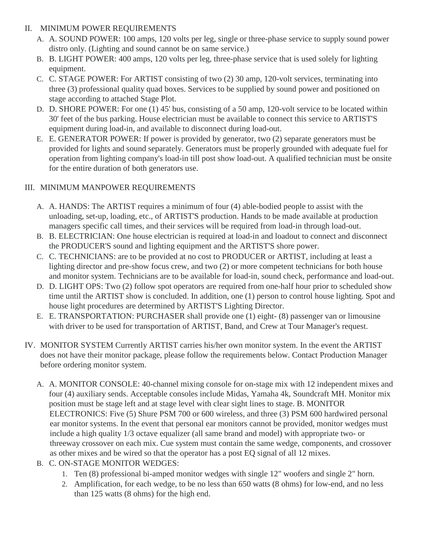#### II. MINIMUM POWER REQUIREMENTS

- A. A. SOUND POWER: 100 amps, 120 volts per leg, single or three-phase service to supply sound power distro only. (Lighting and sound cannot be on same service.)
- B. B. LIGHT POWER: 400 amps, 120 volts per leg, three-phase service that is used solely for lighting equipment.
- C. C. STAGE POWER: For ARTIST consisting of two (2) 30 amp, 120-volt services, terminating into three (3) professional quality quad boxes. Services to be supplied by sound power and positioned on stage according to attached Stage Plot.
- D. D. SHORE POWER: For one (1) 45' bus, consisting of a 50 amp, 120-volt service to be located within 30' feet of the bus parking. House electrician must be available to connect this service to ARTIST'S equipment during load-in, and available to disconnect during load-out.
- E. E. GENERATOR POWER: If power is provided by generator, two (2) separate generators must be provided for lights and sound separately. Generators must be properly grounded with adequate fuel for operation from lighting company's load-in till post show load-out. A qualified technician must be onsite for the entire duration of both generators use.

#### III. MINIMUM MANPOWER REQUIREMENTS

- A. A. HANDS: The ARTIST requires a minimum of four (4) able-bodied people to assist with the unloading, set-up, loading, etc., of ARTIST'S production. Hands to be made available at production managers specific call times, and their services will be required from load-in through load-out.
- B. B. ELECTRICIAN: One house electrician is required at load-in and loadout to connect and disconnect the PRODUCER'S sound and lighting equipment and the ARTIST'S shore power.
- C. C. TECHNICIANS: are to be provided at no cost to PRODUCER or ARTIST, including at least a lighting director and pre-show focus crew, and two (2) or more competent technicians for both house and monitor system. Technicians are to be available for load-in, sound check, performance and load-out.
- D. D. LIGHT OPS: Two (2) follow spot operators are required from one-half hour prior to scheduled show time until the ARTIST show is concluded. In addition, one (1) person to control house lighting. Spot and house light procedures are determined by ARTIST'S Lighting Director.
- E. E. TRANSPORTATION: PURCHASER shall provide one (1) eight- (8) passenger van or limousine with driver to be used for transportation of ARTIST, Band, and Crew at Tour Manager's request.
- IV. MONITOR SYSTEM Currently ARTIST carries his/her own monitor system. In the event the ARTIST does not have their monitor package, please follow the requirements below. Contact Production Manager before ordering monitor system.
	- A. A. MONITOR CONSOLE: 40-channel mixing console for on-stage mix with 12 independent mixes and four (4) auxiliary sends. Acceptable consoles include Midas, Yamaha 4k, Soundcraft MH. Monitor mix position must be stage left and at stage level with clear sight lines to stage. B. MONITOR ELECTRONICS: Five (5) Shure PSM 700 or 600 wireless, and three (3) PSM 600 hardwired personal ear monitor systems. In the event that personal ear monitors cannot be provided, monitor wedges must include a high quality 1/3 octave equalizer (all same brand and model) with appropriate two- or threeway crossover on each mix. Cue system must contain the same wedge, components, and crossover as other mixes and be wired so that the operator has a post EQ signal of all 12 mixes.
	- B. C. ON-STAGE MONITOR WEDGES:
		- 1. Ten (8) professional bi-amped monitor wedges with single 12" woofers and single 2" horn.
		- 2. Amplification, for each wedge, to be no less than 650 watts (8 ohms) for low-end, and no less than 125 watts (8 ohms) for the high end.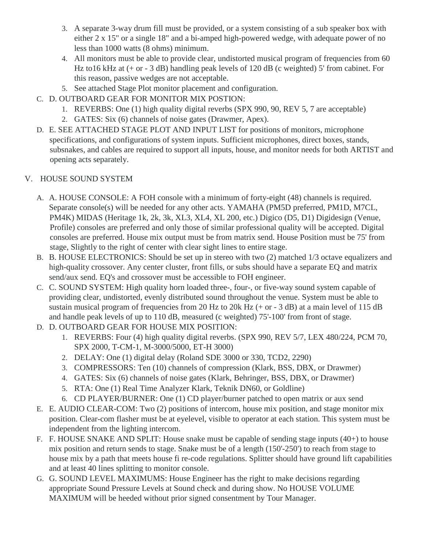- 3. A separate 3-way drum fill must be provided, or a system consisting of a sub speaker box with either 2 x 15" or a single 18" and a bi-amped high-powered wedge, with adequate power of no less than 1000 watts (8 ohms) minimum.
- 4. All monitors must be able to provide clear, undistorted musical program of frequencies from 60 Hz to 16 kHz at  $(+$  or  $-3$  dB) handling peak levels of 120 dB (c weighted) 5' from cabinet. For this reason, passive wedges are not acceptable.
- 5. See attached Stage Plot monitor placement and configuration.
- C. D. OUTBOARD GEAR FOR MONITOR MIX POSTION:
	- 1. REVERBS: One (1) high quality digital reverbs (SPX 990, 90, REV 5, 7 are acceptable)
	- 2. GATES: Six (6) channels of noise gates (Drawmer, Apex).
- D. E. SEE ATTACHED STAGE PLOT AND INPUT LIST for positions of monitors, microphone specifications, and configurations of system inputs. Sufficient microphones, direct boxes, stands, subsnakes, and cables are required to support all inputs, house, and monitor needs for both ARTIST and opening acts separately.

### V. HOUSE SOUND SYSTEM

- A. A. HOUSE CONSOLE: A FOH console with a minimum of forty-eight (48) channels is required. Separate console(s) will be needed for any other acts. YAMAHA (PM5D preferred, PM1D, M7CL, PM4K) MIDAS (Heritage 1k, 2k, 3k, XL3, XL4, XL 200, etc.) Digico (D5, D1) Digidesign (Venue, Profile) consoles are preferred and only those of similar professional quality will be accepted. Digital consoles are preferred. House mix output must be from matrix send. House Position must be 75' from stage, Slightly to the right of center with clear sight lines to entire stage.
- B. B. HOUSE ELECTRONICS: Should be set up in stereo with two (2) matched 1/3 octave equalizers and high-quality crossover. Any center cluster, front fills, or subs should have a separate EQ and matrix send/aux send. EQ's and crossover must be accessible to FOH engineer.
- C. C. SOUND SYSTEM: High quality horn loaded three-, four-, or five-way sound system capable of providing clear, undistorted, evenly distributed sound throughout the venue. System must be able to sustain musical program of frequencies from 20 Hz to 20k Hz  $(+$  or  $-3$  dB) at a main level of 115 dB and handle peak levels of up to 110 dB, measured (c weighted) 75'-100' from front of stage.
- D. D. OUTBOARD GEAR FOR HOUSE MIX POSITION:
	- 1. REVERBS: Four (4) high quality digital reverbs. (SPX 990, REV 5/7, LEX 480/224, PCM 70, SPX 2000, T-CM-1, M-3000/5000, ET-H 3000)
	- 2. DELAY: One (1) digital delay (Roland SDE 3000 or 330, TCD2, 2290)
	- 3. COMPRESSORS: Ten (10) channels of compression (Klark, BSS, DBX, or Drawmer)
	- 4. GATES: Six (6) channels of noise gates (Klark, Behringer, BSS, DBX, or Drawmer)
	- 5. RTA: One (1) Real Time Analyzer Klark, Teknik DN60, or Goldline)
	- 6. CD PLAYER/BURNER: One (1) CD player/burner patched to open matrix or aux send
- E. E. AUDIO CLEAR-COM: Two (2) positions of intercom, house mix position, and stage monitor mix position. Clear-com flasher must be at eyelevel, visible to operator at each station. This system must be independent from the lighting intercom.
- F. F. HOUSE SNAKE AND SPLIT: House snake must be capable of sending stage inputs (40+) to house mix position and return sends to stage. Snake must be of a length (150'-250') to reach from stage to house mix by a path that meets house fi re-code regulations. Splitter should have ground lift capabilities and at least 40 lines splitting to monitor console.
- G. G. SOUND LEVEL MAXIMUMS: House Engineer has the right to make decisions regarding appropriate Sound Pressure Levels at Sound check and during show. No HOUSE VOLUME MAXIMUM will be heeded without prior signed consentment by Tour Manager.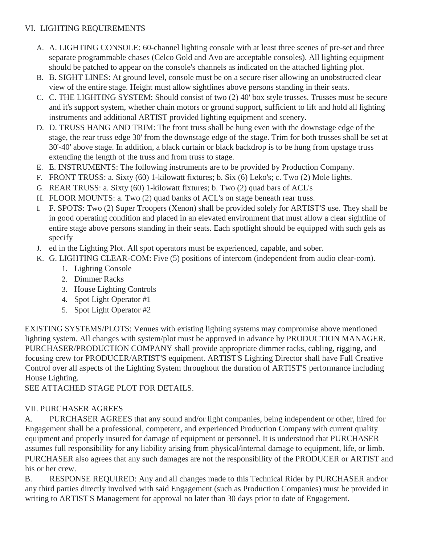### VI. LIGHTING REQUIREMENTS

- A. A. LIGHTING CONSOLE: 60-channel lighting console with at least three scenes of pre-set and three separate programmable chases (Celco Gold and Avo are acceptable consoles). All lighting equipment should be patched to appear on the console's channels as indicated on the attached lighting plot.
- B. B. SIGHT LINES: At ground level, console must be on a secure riser allowing an unobstructed clear view of the entire stage. Height must allow sightlines above persons standing in their seats.
- C. C. THE LIGHTING SYSTEM: Should consist of two (2) 40' box style trusses. Trusses must be secure and it's support system, whether chain motors or ground support, sufficient to lift and hold all lighting instruments and additional ARTIST provided lighting equipment and scenery.
- D. D. TRUSS HANG AND TRIM: The front truss shall be hung even with the downstage edge of the stage, the rear truss edge 30' from the downstage edge of the stage. Trim for both trusses shall be set at 30'-40' above stage. In addition, a black curtain or black backdrop is to be hung from upstage truss extending the length of the truss and from truss to stage.
- E. E. INSTRUMENTS: The following instruments are to be provided by Production Company.
- F. FRONT TRUSS: a. Sixty (60) 1-kilowatt fixtures; b. Six (6) Leko's; c. Two (2) Mole lights.
- G. REAR TRUSS: a. Sixty (60) 1-kilowatt fixtures; b. Two (2) quad bars of ACL's
- H. FLOOR MOUNTS: a. Two (2) quad banks of ACL's on stage beneath rear truss.
- I. F. SPOTS: Two (2) Super Troopers (Xenon) shall be provided solely for ARTIST'S use. They shall be in good operating condition and placed in an elevated environment that must allow a clear sightline of entire stage above persons standing in their seats. Each spotlight should be equipped with such gels as specify
- J. ed in the Lighting Plot. All spot operators must be experienced, capable, and sober.
- K. G. LIGHTING CLEAR-COM: Five (5) positions of intercom (independent from audio clear-com).
	- 1. Lighting Console
	- 2. Dimmer Racks
	- 3. House Lighting Controls
	- 4. Spot Light Operator #1
	- 5. Spot Light Operator #2

EXISTING SYSTEMS/PLOTS: Venues with existing lighting systems may compromise above mentioned lighting system. All changes with system/plot must be approved in advance by PRODUCTION MANAGER. PURCHASER/PRODUCTION COMPANY shall provide appropriate dimmer racks, cabling, rigging, and focusing crew for PRODUCER/ARTIST'S equipment. ARTIST'S Lighting Director shall have Full Creative Control over all aspects of the Lighting System throughout the duration of ARTIST'S performance including House Lighting.

SEE ATTACHED STAGE PLOT FOR DETAILS.

### VII. PURCHASER AGREES

A. PURCHASER AGREES that any sound and/or light companies, being independent or other, hired for Engagement shall be a professional, competent, and experienced Production Company with current quality equipment and properly insured for damage of equipment or personnel. It is understood that PURCHASER assumes full responsibility for any liability arising from physical/internal damage to equipment, life, or limb. PURCHASER also agrees that any such damages are not the responsibility of the PRODUCER or ARTIST and his or her crew.

B. RESPONSE REQUIRED: Any and all changes made to this Technical Rider by PURCHASER and/or any third parties directly involved with said Engagement (such as Production Companies) must be provided in writing to ARTIST'S Management for approval no later than 30 days prior to date of Engagement.